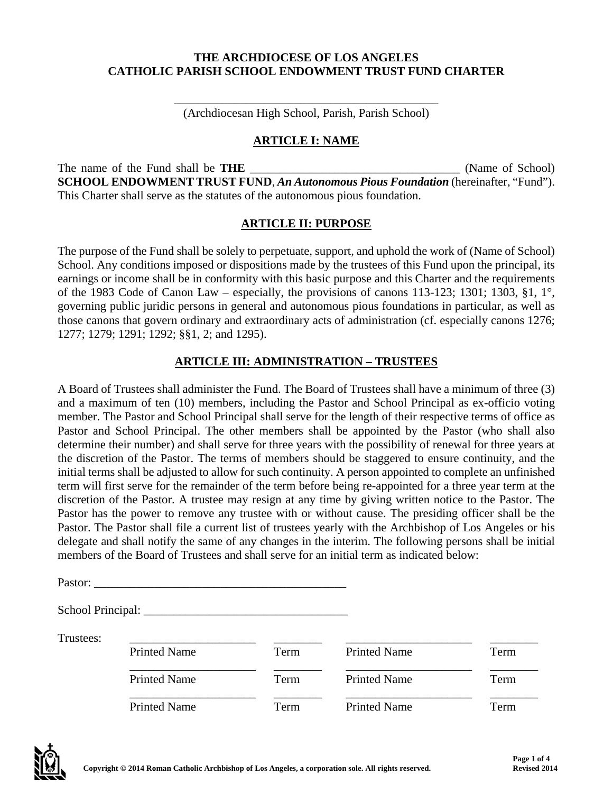#### **THE ARCHDIOCESE OF LOS ANGELES CATHOLIC PARISH SCHOOL ENDOWMENT TRUST FUND CHARTER**

\_\_\_\_\_\_\_\_\_\_\_\_\_\_\_\_\_\_\_\_\_\_\_\_\_\_\_\_\_\_\_\_\_\_\_\_\_\_\_\_\_\_\_\_ (Archdiocesan High School, Parish, Parish School)

#### **ARTICLE I: NAME**

The name of the Fund shall be **THE** The same of School) **SCHOOL ENDOWMENT TRUST FUND**, *An Autonomous Pious Foundation* (hereinafter, "Fund"). This Charter shall serve as the statutes of the autonomous pious foundation.

#### **ARTICLE II: PURPOSE**

The purpose of the Fund shall be solely to perpetuate, support, and uphold the work of (Name of School) School. Any conditions imposed or dispositions made by the trustees of this Fund upon the principal, its earnings or income shall be in conformity with this basic purpose and this Charter and the requirements of the 1983 Code of Canon Law – especially, the provisions of canons 113-123; 1301; 1303, §1, 1°, governing public juridic persons in general and autonomous pious foundations in particular, as well as those canons that govern ordinary and extraordinary acts of administration (cf. especially canons 1276; 1277; 1279; 1291; 1292; §§1, 2; and 1295).

### **ARTICLE III: ADMINISTRATION – TRUSTEES**

A Board of Trustees shall administer the Fund. The Board of Trustees shall have a minimum of three (3) and a maximum of ten (10) members, including the Pastor and School Principal as ex-officio voting member. The Pastor and School Principal shall serve for the length of their respective terms of office as Pastor and School Principal. The other members shall be appointed by the Pastor (who shall also determine their number) and shall serve for three years with the possibility of renewal for three years at the discretion of the Pastor. The terms of members should be staggered to ensure continuity, and the initial terms shall be adjusted to allow for such continuity. A person appointed to complete an unfinished term will first serve for the remainder of the term before being re-appointed for a three year term at the discretion of the Pastor. A trustee may resign at any time by giving written notice to the Pastor. The Pastor has the power to remove any trustee with or without cause. The presiding officer shall be the Pastor. The Pastor shall file a current list of trustees yearly with the Archbishop of Los Angeles or his delegate and shall notify the same of any changes in the interim. The following persons shall be initial members of the Board of Trustees and shall serve for an initial term as indicated below:

| Pastor: |
|---------|
|---------|

School Principal: \_\_\_\_\_\_\_\_\_\_\_\_\_\_\_\_\_\_\_\_\_\_\_\_\_\_\_\_\_\_\_\_\_\_

| Trustees: |                     |      |                     |      |
|-----------|---------------------|------|---------------------|------|
|           | <b>Printed Name</b> | Term | <b>Printed Name</b> | Term |
|           | <b>Printed Name</b> | Term | <b>Printed Name</b> | Term |
|           | <b>Printed Name</b> | Term | <b>Printed Name</b> | Term |

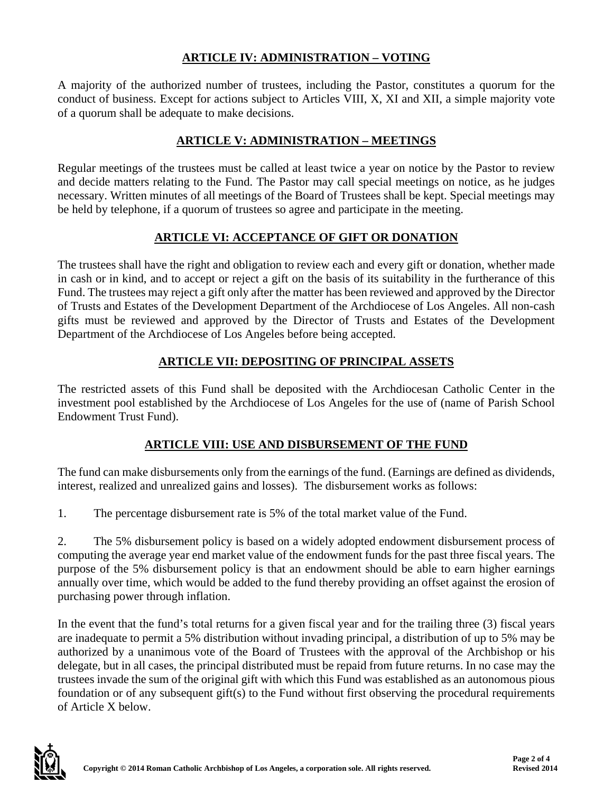## **ARTICLE IV: ADMINISTRATION – VOTING**

A majority of the authorized number of trustees, including the Pastor, constitutes a quorum for the conduct of business. Except for actions subject to Articles VIII, X, XI and XII, a simple majority vote of a quorum shall be adequate to make decisions.

## **ARTICLE V: ADMINISTRATION – MEETINGS**

Regular meetings of the trustees must be called at least twice a year on notice by the Pastor to review and decide matters relating to the Fund. The Pastor may call special meetings on notice, as he judges necessary. Written minutes of all meetings of the Board of Trustees shall be kept. Special meetings may be held by telephone, if a quorum of trustees so agree and participate in the meeting.

# **ARTICLE VI: ACCEPTANCE OF GIFT OR DONATION**

The trustees shall have the right and obligation to review each and every gift or donation, whether made in cash or in kind, and to accept or reject a gift on the basis of its suitability in the furtherance of this Fund. The trustees may reject a gift only after the matter has been reviewed and approved by the Director of Trusts and Estates of the Development Department of the Archdiocese of Los Angeles. All non-cash gifts must be reviewed and approved by the Director of Trusts and Estates of the Development Department of the Archdiocese of Los Angeles before being accepted.

# **ARTICLE VII: DEPOSITING OF PRINCIPAL ASSETS**

The restricted assets of this Fund shall be deposited with the Archdiocesan Catholic Center in the investment pool established by the Archdiocese of Los Angeles for the use of (name of Parish School Endowment Trust Fund).

## **ARTICLE VIII: USE AND DISBURSEMENT OF THE FUND**

The fund can make disbursements only from the earnings of the fund. (Earnings are defined as dividends, interest, realized and unrealized gains and losses). The disbursement works as follows:

1. The percentage disbursement rate is 5% of the total market value of the Fund.

2. The 5% disbursement policy is based on a widely adopted endowment disbursement process of computing the average year end market value of the endowment funds for the past three fiscal years. The purpose of the 5% disbursement policy is that an endowment should be able to earn higher earnings annually over time, which would be added to the fund thereby providing an offset against the erosion of purchasing power through inflation.

In the event that the fund's total returns for a given fiscal year and for the trailing three (3) fiscal years are inadequate to permit a 5% distribution without invading principal, a distribution of up to 5% may be authorized by a unanimous vote of the Board of Trustees with the approval of the Archbishop or his delegate, but in all cases, the principal distributed must be repaid from future returns. In no case may the trustees invade the sum of the original gift with which this Fund was established as an autonomous pious foundation or of any subsequent gift(s) to the Fund without first observing the procedural requirements of Article X below.

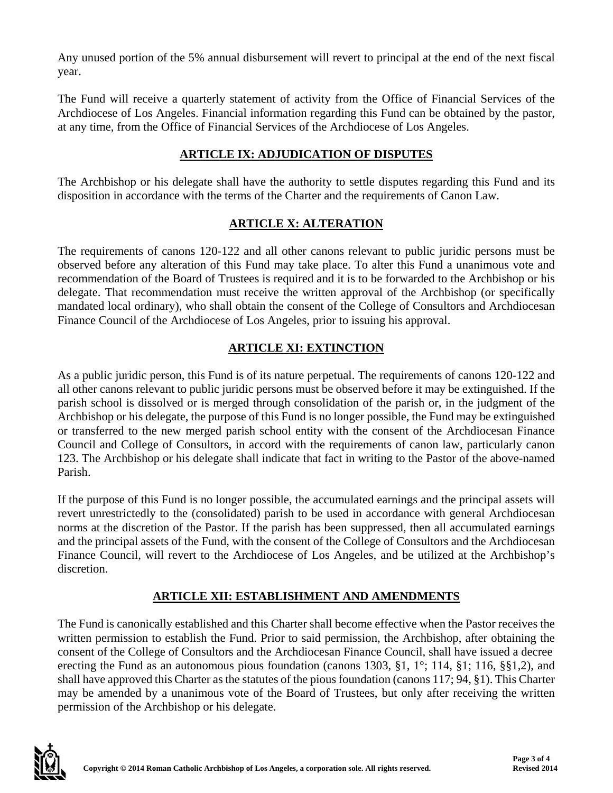Any unused portion of the 5% annual disbursement will revert to principal at the end of the next fiscal year.

The Fund will receive a quarterly statement of activity from the Office of Financial Services of the Archdiocese of Los Angeles. Financial information regarding this Fund can be obtained by the pastor, at any time, from the Office of Financial Services of the Archdiocese of Los Angeles.

## **ARTICLE IX: ADJUDICATION OF DISPUTES**

The Archbishop or his delegate shall have the authority to settle disputes regarding this Fund and its disposition in accordance with the terms of the Charter and the requirements of Canon Law.

# **ARTICLE X: ALTERATION**

The requirements of canons 120-122 and all other canons relevant to public juridic persons must be observed before any alteration of this Fund may take place. To alter this Fund a unanimous vote and recommendation of the Board of Trustees is required and it is to be forwarded to the Archbishop or his delegate. That recommendation must receive the written approval of the Archbishop (or specifically mandated local ordinary), who shall obtain the consent of the College of Consultors and Archdiocesan Finance Council of the Archdiocese of Los Angeles, prior to issuing his approval.

# **ARTICLE XI: EXTINCTION**

As a public juridic person, this Fund is of its nature perpetual. The requirements of canons 120-122 and all other canons relevant to public juridic persons must be observed before it may be extinguished. If the parish school is dissolved or is merged through consolidation of the parish or, in the judgment of the Archbishop or his delegate, the purpose of this Fund is no longer possible, the Fund may be extinguished or transferred to the new merged parish school entity with the consent of the Archdiocesan Finance Council and College of Consultors, in accord with the requirements of canon law, particularly canon 123. The Archbishop or his delegate shall indicate that fact in writing to the Pastor of the above-named Parish.

If the purpose of this Fund is no longer possible, the accumulated earnings and the principal assets will revert unrestrictedly to the (consolidated) parish to be used in accordance with general Archdiocesan norms at the discretion of the Pastor. If the parish has been suppressed, then all accumulated earnings and the principal assets of the Fund, with the consent of the College of Consultors and the Archdiocesan Finance Council, will revert to the Archdiocese of Los Angeles, and be utilized at the Archbishop's discretion.

## **ARTICLE XII: ESTABLISHMENT AND AMENDMENTS**

The Fund is canonically established and this Charter shall become effective when the Pastor receives the written permission to establish the Fund. Prior to said permission, the Archbishop, after obtaining the consent of the College of Consultors and the Archdiocesan Finance Council, shall have issued a decree erecting the Fund as an autonomous pious foundation (canons 1303, §1, 1°; 114, §1; 116, §§1,2), and shall have approved this Charter as the statutes of the pious foundation (canons 117; 94, §1). This Charter may be amended by a unanimous vote of the Board of Trustees, but only after receiving the written permission of the Archbishop or his delegate.